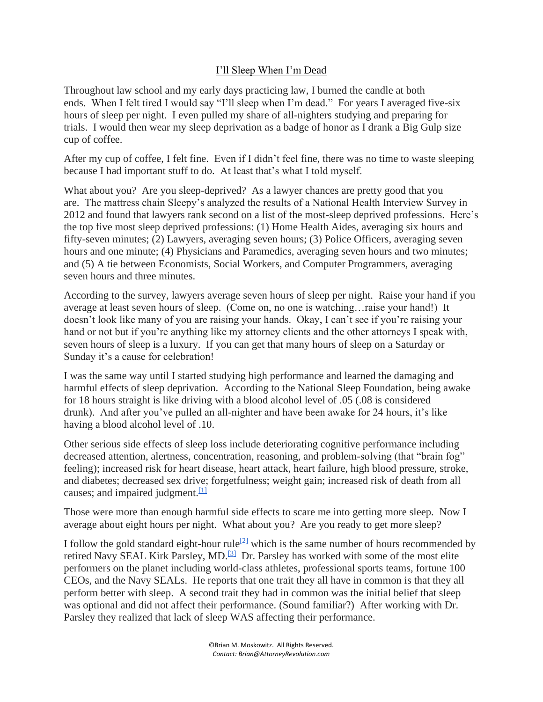## I'll Sleep When I'm Dead

Throughout law school and my early days practicing law, I burned the candle at both ends. When I felt tired I would say "I'll sleep when I'm dead." For years I averaged five-six hours of sleep per night. I even pulled my share of all-nighters studying and preparing for trials. I would then wear my sleep deprivation as a badge of honor as I drank a Big Gulp size cup of coffee.

After my cup of coffee, I felt fine. Even if I didn't feel fine, there was no time to waste sleeping because I had important stuff to do. At least that's what I told myself.

What about you? Are you sleep-deprived? As a lawyer chances are pretty good that you are. The mattress chain Sleepy's analyzed the results of a National Health Interview Survey in 2012 and found that lawyers rank second on a list of the most-sleep deprived professions. Here's the top five most sleep deprived professions: (1) Home Health Aides, averaging six hours and fifty-seven minutes; (2) Lawyers, averaging seven hours; (3) Police Officers, averaging seven hours and one minute; (4) Physicians and Paramedics, averaging seven hours and two minutes; and (5) A tie between Economists, Social Workers, and Computer Programmers, averaging seven hours and three minutes.

According to the survey, lawyers average seven hours of sleep per night. Raise your hand if you average at least seven hours of sleep. (Come on, no one is watching…raise your hand!) It doesn't look like many of you are raising your hands. Okay, I can't see if you're raising your hand or not but if you're anything like my attorney clients and the other attorneys I speak with, seven hours of sleep is a luxury. If you can get that many hours of sleep on a Saturday or Sunday it's a cause for celebration!

I was the same way until I started studying high performance and learned the damaging and harmful effects of sleep deprivation. According to the National Sleep Foundation, being awake for 18 hours straight is like driving with a blood alcohol level of .05 (.08 is considered drunk). And after you've pulled an all-nighter and have been awake for 24 hours, it's like having a blood alcohol level of .10.

Other serious side effects of sleep loss include deteriorating cognitive performance including decreased attention, alertness, concentration, reasoning, and problem-solving (that "brain fog" feeling); increased risk for heart disease, heart attack, heart failure, high blood pressure, stroke, and diabetes; decreased sex drive; forgetfulness; weight gain; increased risk of death from all causes; and impaired judgment. $[1]$ 

Those were more than enough harmful side effects to scare me into getting more sleep. Now I average about eight hours per night. What about you? Are you ready to get more sleep?

I follow the gold standard eight-hour rule<sup>[\[2\]](https://mail.google.com/mail/u/0/#_ftn2)</sup> which is the same number of hours recommended by retired Navy SEAL Kirk Parsley, MD.<sup>[\[3\]](https://mail.google.com/mail/u/0/#_ftn3)</sup> Dr. Parsley has worked with some of the most elite performers on the planet including world-class athletes, professional sports teams, fortune 100 CEOs, and the Navy SEALs. He reports that one trait they all have in common is that they all perform better with sleep. A second trait they had in common was the initial belief that sleep was optional and did not affect their performance. (Sound familiar?) After working with Dr. Parsley they realized that lack of sleep WAS affecting their performance.